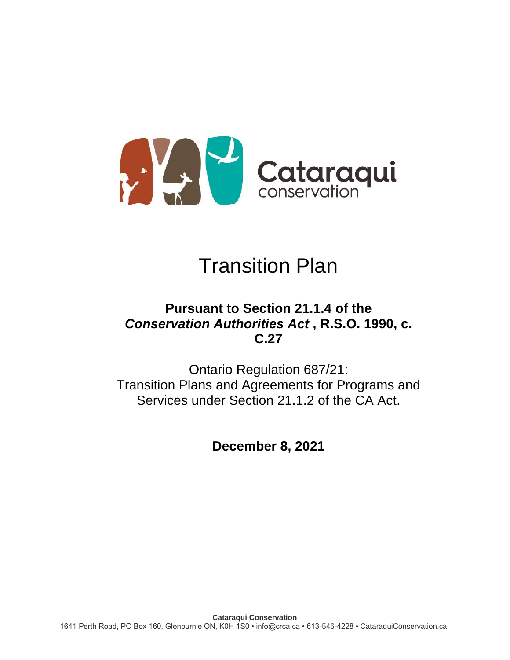

# Transition Plan

## **Pursuant to Section 21.1.4 of the**  *Conservation Authorities Act* **, R.S.O. 1990, c. C.27**

Ontario Regulation 687/21: Transition Plans and Agreements for Programs and Services under Section 21.1.2 of the CA Act.

**December 8, 2021**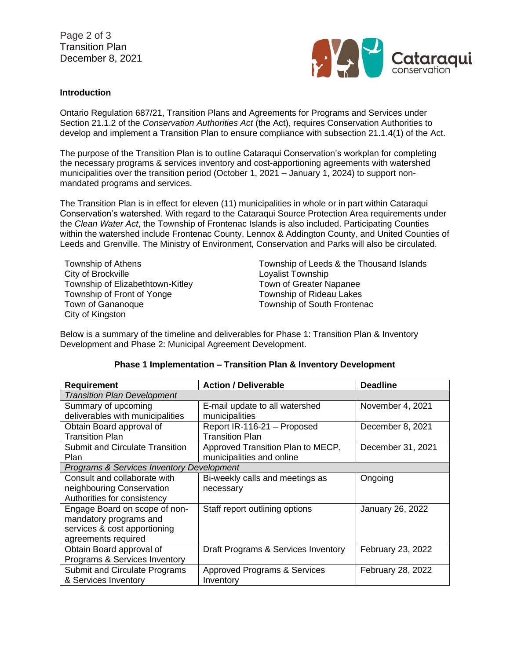Page 2 of 3 Transition Plan December 8, 2021



### **Introduction**

Ontario Regulation 687/21, Transition Plans and Agreements for Programs and Services under Section 21.1.2 of the *Conservation Authorities Act* (the Act), requires Conservation Authorities to develop and implement a Transition Plan to ensure compliance with subsection 21.1.4(1) of the Act.

The purpose of the Transition Plan is to outline Cataraqui Conservation's workplan for completing the necessary programs & services inventory and cost-apportioning agreements with watershed municipalities over the transition period (October 1, 2021 – January 1, 2024) to support nonmandated programs and services.

The Transition Plan is in effect for eleven (11) municipalities in whole or in part within Cataraqui Conservation's watershed. With regard to the Cataraqui Source Protection Area requirements under the *Clean Water Act*, the Township of Frontenac Islands is also included. Participating Counties within the watershed include Frontenac County, Lennox & Addington County, and United Counties of Leeds and Grenville. The Ministry of Environment, Conservation and Parks will also be circulated.

City of Brockville **Loyalist Township** Township of Elizabethtown-Kitley Town of Greater Napanee Township of Front of Yonge Township of Rideau Lakes Town of Gananoque Township of South Frontenac City of Kingston

Township of Athens Township of Leeds & the Thousand Islands

Below is a summary of the timeline and deliverables for Phase 1: Transition Plan & Inventory Development and Phase 2: Municipal Agreement Development.

| Requirement                               | <b>Action / Deliverable</b>         | <b>Deadline</b>   |  |
|-------------------------------------------|-------------------------------------|-------------------|--|
| <b>Transition Plan Development</b>        |                                     |                   |  |
| Summary of upcoming                       | E-mail update to all watershed      | November 4, 2021  |  |
| deliverables with municipalities          | municipalities                      |                   |  |
| Obtain Board approval of                  | Report IR-116-21 - Proposed         | December 8, 2021  |  |
| <b>Transition Plan</b>                    | <b>Transition Plan</b>              |                   |  |
| <b>Submit and Circulate Transition</b>    | Approved Transition Plan to MECP,   | December 31, 2021 |  |
| <b>Plan</b>                               | municipalities and online           |                   |  |
| Programs & Services Inventory Development |                                     |                   |  |
| Consult and collaborate with              | Bi-weekly calls and meetings as     | Ongoing           |  |
| neighbouring Conservation                 | necessary                           |                   |  |
| Authorities for consistency               |                                     |                   |  |
| Engage Board on scope of non-             | Staff report outlining options      | January 26, 2022  |  |
| mandatory programs and                    |                                     |                   |  |
| services & cost apportioning              |                                     |                   |  |
| agreements required                       |                                     |                   |  |
| Obtain Board approval of                  | Draft Programs & Services Inventory | February 23, 2022 |  |
| Programs & Services Inventory             |                                     |                   |  |
| Submit and Circulate Programs             | Approved Programs & Services        | February 28, 2022 |  |
| & Services Inventory                      | Inventory                           |                   |  |

### **Phase 1 Implementation – Transition Plan & Inventory Development**